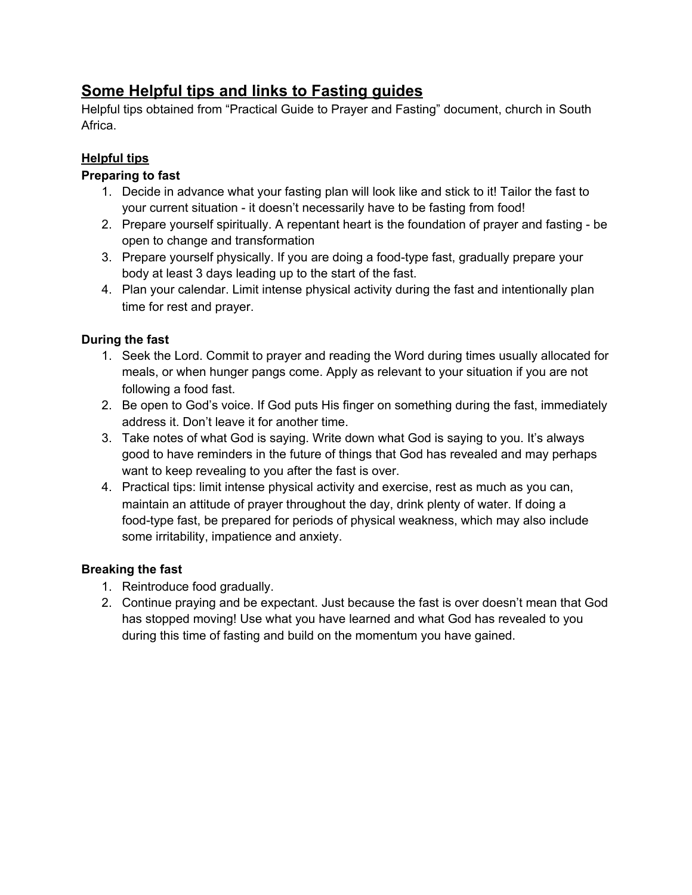# **Some Helpful tips and links to Fasting guides**

Helpful tips obtained from "Practical Guide to Prayer and Fasting" document, church in South Africa.

## **Helpful tips**

### **Preparing to fast**

- 1. Decide in advance what your fasting plan will look like and stick to it! Tailor the fast to your current situation - it doesn't necessarily have to be fasting from food!
- 2. Prepare yourself spiritually. A repentant heart is the foundation of prayer and fasting be open to change and transformation
- 3. Prepare yourself physically. If you are doing a food-type fast, gradually prepare your body at least 3 days leading up to the start of the fast.
- 4. Plan your calendar. Limit intense physical activity during the fast and intentionally plan time for rest and prayer.

#### **During the fast**

- 1. Seek the Lord. Commit to prayer and reading the Word during times usually allocated for meals, or when hunger pangs come. Apply as relevant to your situation if you are not following a food fast.
- 2. Be open to God's voice. If God puts His finger on something during the fast, immediately address it. Don't leave it for another time.
- 3. Take notes of what God is saying. Write down what God is saying to you. It's always good to have reminders in the future of things that God has revealed and may perhaps want to keep revealing to you after the fast is over.
- 4. Practical tips: limit intense physical activity and exercise, rest as much as you can, maintain an attitude of prayer throughout the day, drink plenty of water. If doing a food-type fast, be prepared for periods of physical weakness, which may also include some irritability, impatience and anxiety.

#### **Breaking the fast**

- 1. Reintroduce food gradually.
- 2. Continue praying and be expectant. Just because the fast is over doesn't mean that God has stopped moving! Use what you have learned and what God has revealed to you during this time of fasting and build on the momentum you have gained.